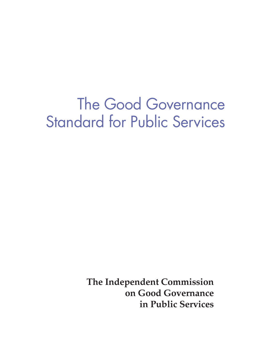# The Good Governance Standard for Public Services

**The Independent Commission on Good Governance in Public Services**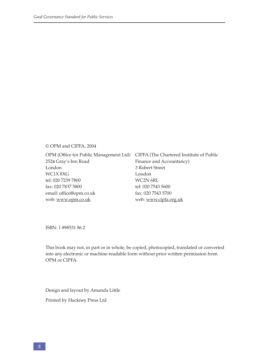#### © OPM and CIPFA, 2004

OPM (Office for Public Management Ltd) CIPFA (The Chartered Institute of Public 252b Gray's Inn Road London WC1X 8XG tel: 020 7239 7800 fax: 020 7837 5800 email: office@opm.co.uk web: www.opm.co.uk

Finance and Accountancy) 3 Robert Street London WC2N 6RL tel: 020 7543 5600 fax: 020 7543 5700 web: www.cipfa.org.uk

ISBN: 1 898531 86 2

This book may not, in part or in whole, be copied, photocopied, translated or converted into any electronic or machine-readable form without prior written permission from OPM or CIPFA.

Design and layout by Amanda Little

Printed by Hackney Press Ltd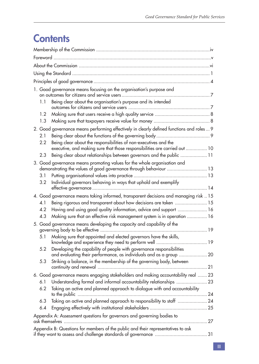## **Contents**

| 1. Good governance means focusing on the organisation's purpose and |                                                                                           |                                                                                                                                                |  |  |  |
|---------------------------------------------------------------------|-------------------------------------------------------------------------------------------|------------------------------------------------------------------------------------------------------------------------------------------------|--|--|--|
|                                                                     | 1.1                                                                                       | Being clear about the organisation's purpose and its intended                                                                                  |  |  |  |
|                                                                     | 1.2                                                                                       |                                                                                                                                                |  |  |  |
|                                                                     | 1.3                                                                                       |                                                                                                                                                |  |  |  |
|                                                                     | 2. Good governance means performing effectively in clearly defined functions and roles  9 |                                                                                                                                                |  |  |  |
|                                                                     | 2.1                                                                                       |                                                                                                                                                |  |  |  |
|                                                                     | 2.2                                                                                       | Being clear about the responsibilities of non-executives and the<br>executive, and making sure that those responsibilities are carried out  10 |  |  |  |
|                                                                     | 2.3                                                                                       | Being clear about relationships between governors and the public  11                                                                           |  |  |  |
|                                                                     |                                                                                           | 3. Good governance means promoting values for the whole organisation and                                                                       |  |  |  |
|                                                                     |                                                                                           | demonstrating the values of good governance through behaviour  13                                                                              |  |  |  |
|                                                                     | 3.1                                                                                       |                                                                                                                                                |  |  |  |
|                                                                     | 3.2                                                                                       | Individual governors behaving in ways that uphold and exemplify                                                                                |  |  |  |
|                                                                     | 4. Good governance means taking informed, transparent decisions and managing risk  15     |                                                                                                                                                |  |  |  |
|                                                                     | 4.1                                                                                       | Being rigorous and transparent about how decisions are taken  15                                                                               |  |  |  |
|                                                                     | 4.2                                                                                       | Having and using good quality information, advice and support  16                                                                              |  |  |  |
|                                                                     | 4.3                                                                                       | Making sure that an effective risk management system is in operation  16                                                                       |  |  |  |
|                                                                     | 5. Good governance means developing the capacity and capability of the                    |                                                                                                                                                |  |  |  |
|                                                                     |                                                                                           | 5.1 Making sure that appointed and elected governors have the skills,                                                                          |  |  |  |
|                                                                     | 5.2                                                                                       | Developing the capability of people with governance responsibilities                                                                           |  |  |  |
|                                                                     | 5.3                                                                                       | Striking a balance, in the membership of the governing body, between                                                                           |  |  |  |
|                                                                     |                                                                                           | 6. Good governance means engaging stakeholders and making accountability real  23                                                              |  |  |  |
|                                                                     | 6.1                                                                                       | Understanding formal and informal accountability relationships  23                                                                             |  |  |  |
|                                                                     | 6.2                                                                                       | Taking an active and planned approach to dialogue with and accountability                                                                      |  |  |  |
|                                                                     | 6.3                                                                                       | Taking an active and planned approach to responsibility to staff  24                                                                           |  |  |  |
|                                                                     | 6.4                                                                                       |                                                                                                                                                |  |  |  |
|                                                                     | Appendix A: Assessment questions for governors and governing bodies to                    |                                                                                                                                                |  |  |  |
|                                                                     |                                                                                           | Appendix B: Questions for members of the public and their representatives to ask                                                               |  |  |  |
|                                                                     |                                                                                           |                                                                                                                                                |  |  |  |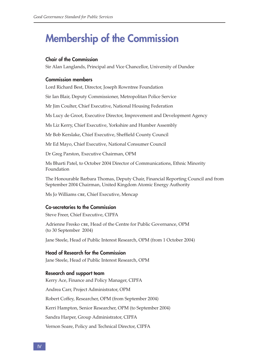## **Membership of the Commission**

#### **Chair of the Commission**

Sir Alan Langlands, Principal and Vice Chancellor, University of Dundee

#### **Commission members**

Lord Richard Best, Director, Joseph Rowntree Foundation

Sir Ian Blair, Deputy Commissioner, Metropolitan Police Service

Mr Jim Coulter, Chief Executive, National Housing Federation

Ms Lucy de Groot, Executive Director, Improvement and Development Agency

Ms Liz Kerry, Chief Executive, Yorkshire and Humber Assembly

Mr Bob Kerslake, Chief Executive, Sheffield County Council

Mr Ed Mayo, Chief Executive, National Consumer Council

Dr Greg Parston, Executive Chairman, OPM

Ms Bharti Patel, to October 2004 Director of Communications, Ethnic Minority Foundation

The Honourable Barbara Thomas, Deputy Chair, Financial Reporting Council and from September 2004 Chairman, United Kingdom Atomic Energy Authority

Ms Jo Williams CBE, Chief Executive, Mencap

#### **Co-secretaries to the Commission**

Steve Freer, Chief Executive, CIPFA

Adrienne Fresko CBE, Head of the Centre for Public Governance, OPM (to 30 September 2004)

Jane Steele, Head of Public Interest Research, OPM (from 1 October 2004)

#### **Head of Research for the Commission**

Jane Steele, Head of Public Interest Research, OPM

#### **Research and support team**

Kerry Ace, Finance and Policy Manager, CIPFA Andrea Carr, Project Administrator, OPM Robert Coffey, Researcher, OPM (from September 2004) Kerri Hampton, Senior Researcher, OPM (to September 2004) Sandra Harper, Group Administrator, CIPFA Vernon Soare, Policy and Technical Director, CIPFA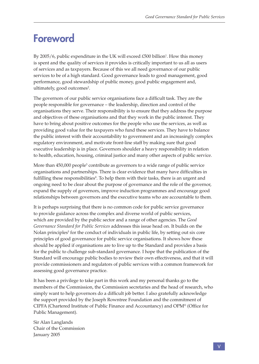## **Foreword**

By 2005/6, public expenditure in the UK will exceed £500 billion<sup>1</sup>. How this money is spent and the quality of services it provides is critically important to us all as users of services and as taxpayers. Because of this we all need governance of our public services to be of a high standard. Good governance leads to good management, good performance, good stewardship of public money, good public engagement and, ultimately, good outcomes<sup>2</sup>.

The governors of our public service organisations face a difficult task. They are the people responsible for governance – the leadership, direction and control of the organisations they serve. Their responsibility is to ensure that they address the purpose and objectives of these organisations and that they work in the public interest. They have to bring about positive outcomes for the people who use the services, as well as providing good value for the taxpayers who fund these services. They have to balance the public interest with their accountability to government and an increasingly complex regulatory environment, and motivate front-line staff by making sure that good executive leadership is in place. Governors shoulder a heavy responsibility in relation to health, education, housing, criminal justice and many other aspects of public service.

More than  $450,000$  people $^3$  contribute as governors to a wide range of public service organisations and partnerships. There is clear evidence that many have difficulties in fulfilling these responsibilities<sup>4</sup>. To help them with their tasks, there is an urgent and ongoing need to be clear about the purpose of governance and the role of the governor, expand the supply of governors, improve induction programmes and encourage good relationships between governors and the executive teams who are accountable to them.

It is perhaps surprising that there is no common code for public service governance to provide guidance across the complex and diverse world of public services, which are provided by the public sector and a range of other agencies. The *Good Governance Standard for Public Services* addresses this issue head on. It builds on the Nolan principles<sup>5</sup> for the conduct of individuals in public life, by setting out six core principles of good governance for public service organisations. It shows how these should be applied if organisations are to live up to the Standard and provides a basis for the public to challenge sub-standard governance. I hope that the publication of the Standard will encourage public bodies to review their own effectiveness, and that it will provide commissioners and regulators of public services with a common framework for assessing good governance practice.

It has been a privilege to take part in this work and my personal thanks go to the members of the Commission, the Commission secretaries and the head of research, who simply want to help governors do a difficult job better. I also gratefully acknowledge the support provided by the Joseph Rowntree Foundation and the commitment of CIPFA (Chartered Institute of Public Finance and Accountancy) and OPM® (Office for Public Management).

Sir Alan Langlands Chair of the Commission January 2005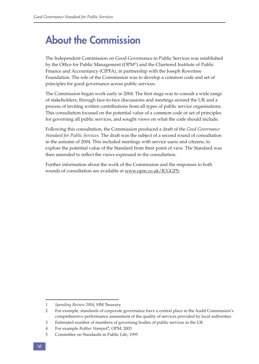## **About the Commission**

The Independent Commission on Good Governance in Public Services was established by the Office for Public Management (OPM®) and the Chartered Institute of Public Finance and Accountancy (CIPFA), in partnership with the Joseph Rowntree Foundation. The role of the Commission was to develop a common code and set of principles for good governance across public services.

The Commission began work early in 2004. The first stage was to consult a wide range of stakeholders, through face-to-face discussions and meetings around the UK and a process of inviting written contributions from all types of public service organisations. This consultation focused on the potential value of a common code or set of principles for governing all public services, and sought views on what the code should include.

Following this consultation, the Commission produced a draft of the *Good Governance Standard for Public Services*. The draft was the subject of a second round of consultation in the autumn of 2004. This included meetings with service users and citizens, to explore the potential value of the Standard from their point of view. The Standard was then amended to reflect the views expressed in the consultation.

Further information about the work of the Commission and the responses to both rounds of consultation are available at www.opm.co.uk/ICGGPS.

<sup>1</sup> *Spending Review 2004*, HM Treasury

<sup>2</sup> For example, standards of corporate governance have a central place in the Audit Commission's comprehensive performance assessment of the quality of services provided by local authorities

<sup>3</sup> Estimated number of members of governing bodies of public services in the UK

<sup>4</sup> For example *Rubber Stamped*?, OPM, 2003

<sup>5</sup> Committee on Standards in Public Life, 1995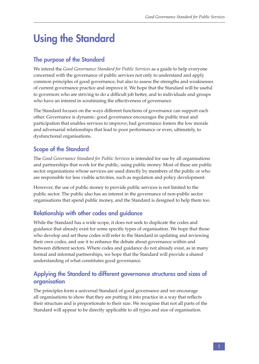## **Using the Standard**

## **The purpose of the Standard**

We intend the *Good Governance Standard for Public Services* as a guide to help everyone concerned with the governance of public services not only to understand and apply common principles of good governance, but also to assess the strengths and weaknesses of current governance practice and improve it. We hope that the Standard will be useful to governors who are striving to do a difficult job better, and to individuals and groups who have an interest in scrutinising the effectiveness of governance.

The Standard focuses on the ways different functions of governance can support each other. Governance is dynamic: good governance encourages the public trust and participation that enables services to improve; bad governance fosters the low morale and adversarial relationships that lead to poor performance or even, ultimately, to dysfunctional organisations.

## **Scope of the Standard**

The *Good Governance Standard for Public Services* is intended for use by all organisations and partnerships that work for the public, using public money. Most of these are public sector organisations whose services are used directly by members of the public or who are responsible for less visible activities, such as regulation and policy development.

However, the use of public money to provide public services is not limited to the public sector. The public also has an interest in the governance of non-public sector organisations that spend public money, and the Standard is designed to help them too.

## **Relationship with other codes and guidance**

While the Standard has a wide scope, it does not seek to duplicate the codes and guidance that already exist for some specific types of organisation. We hope that those who develop and set these codes will refer to the Standard in updating and reviewing their own codes, and use it to enhance the debate about governance within and between different sectors. Where codes and guidance do not already exist, as in many formal and informal partnerships, we hope that the Standard will provide a shared understanding of what constitutes good governance.

## **Applying the Standard to different governance structures and sizes of organisation**

The principles form a universal Standard of good governance and we encourage all organisations to show that they are putting it into practice in a way that reflects their structure and is proportionate to their size. We recognise that not all parts of the Standard will appear to be directly applicable to all types and size of organisation.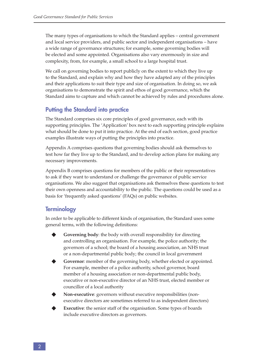The many types of organisations to which the Standard applies – central government and local service providers, and public sector and independent organisations – have a wide range of governance structures; for example, some governing bodies will be elected and some appointed. Organisations also vary enormously in size and complexity, from, for example, a small school to a large hospital trust.

We call on governing bodies to report publicly on the extent to which they live up to the Standard, and explain why and how they have adapted any of the principles and their applications to suit their type and size of organisation. In doing so, we ask organisations to demonstrate the spirit and ethos of good governance, which the Standard aims to capture and which cannot be achieved by rules and procedures alone.

## **Putting the Standard into practice**

The Standard comprises six core principles of good governance, each with its supporting principles. The 'Application' box next to each supporting principle explains what should be done to put it into practice. At the end of each section, good practice examples illustrate ways of putting the principles into practice.

Appendix A comprises questions that governing bodies should ask themselves to test how far they live up to the Standard, and to develop action plans for making any necessary improvements.

Appendix B comprises questions for members of the public or their representatives to ask if they want to understand or challenge the governance of public service organisations. We also suggest that organisations ask themselves these questions to test their own openness and accountability to the public. The questions could be used as a basis for 'frequently asked questions' (FAQs) on public websites.

## **Terminology**

In order to be applicable to different kinds of organisation, the Standard uses some general terms, with the following definitions:

- **Governing body**: the body with overall responsibility for directing and controlling an organisation. For example, the police authority; the governors of a school; the board of a housing association, an NHS trust or a non-departmental public body; the council in local government
- Governor: member of the governing body, whether elected or appointed. For example, member of a police authority, school governor, board member of a housing association or non-departmental public body, executive or non-executive director of an NHS trust, elected member or councillor of a local authority
- **Non-executive**: governors without executive responsibilities (nonexecutive directors are sometimes referred to as independent directors)
- **Executive**: the senior staff of the organisation. Some types of boards include executive directors as governors.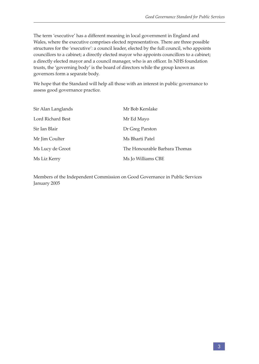The term 'executive' has a different meaning in local government in England and Wales, where the executive comprises elected representatives. There are three possible structures for the 'executive': a council leader, elected by the full council, who appoints councillors to a cabinet; a directly elected mayor who appoints councillors to a cabinet; a directly elected mayor and a council manager, who is an officer. In NHS foundation trusts, the 'governing body' is the board of directors while the group known as governors form a separate body.

We hope that the Standard will help all those with an interest in public governance to assess good governance practice.

| Sir Alan Langlands | Mr Bob Kerslake               |
|--------------------|-------------------------------|
| Lord Richard Best  | Mr Ed Mayo                    |
| Sir Ian Blair      | Dr Greg Parston               |
| Mr Jim Coulter     | Ms Bharti Patel               |
| Ms Lucy de Groot   | The Honourable Barbara Thomas |
| Ms Liz Kerry       | Ms Jo Williams CBE            |

Members of the Independent Commission on Good Governance in Public Services January 2005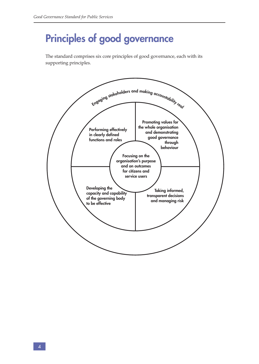## **Principles of good governance**

The standard comprises six core principles of good governance, each with its supporting principles.

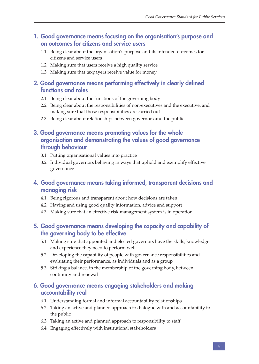### **1. Good governance means focusing on the organisation's purpose and on outcomes for citizens and service users**

- 1.1 Being clear about the organisation's purpose and its intended outcomes for citizens and service users
- 1.2 Making sure that users receive a high quality service
- 1.3 Making sure that taxpayers receive value for money

## **2. Good governance means performing effectively in clearly defined functions and roles**

- 2.1 Being clear about the functions of the governing body
- 2.2 Being clear about the responsibilities of non-executives and the executive, and making sure that those responsibilities are carried out
- 2.3 Being clear about relationships between governors and the public

## **3. Good governance means promoting values for the whole organisation and demonstrating the values of good governance through behaviour**

- 3.1 Putting organisational values into practice
- 3.2 Individual governors behaving in ways that uphold and exemplify effective governance

## **4. Good governance means taking informed, transparent decisions and managing risk**

- 4.1 Being rigorous and transparent about how decisions are taken
- 4.2 Having and using good quality information, advice and support
- 4.3 Making sure that an effective risk management system is in operation

## **5. Good governance means developing the capacity and capability of the governing body to be effective**

- 5.1 Making sure that appointed and elected governors have the skills, knowledge and experience they need to perform well
- 5.2 Developing the capability of people with governance responsibilities and evaluating their performance, as individuals and as a group
- 5.3 Striking a balance, in the membership of the governing body, between continuity and renewal

## **6. Good governance means engaging stakeholders and making accountability real**

- 6.1 Understanding formal and informal accountability relationships
- 6.2 Taking an active and planned approach to dialogue with and accountability to the public
- 6.3 Taking an active and planned approach to responsibility to staff
- 6.4 Engaging effectively with institutional stakeholders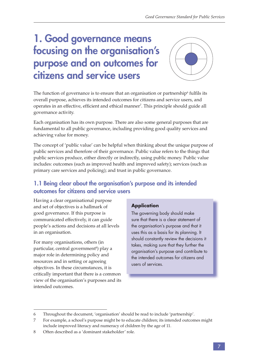## **1. Good governance means focusing on the organisation's purpose and on outcomes for citizens and service users**



The function of governance is to ensure that an organisation or partnership $^6$  fulfils its overall purpose, achieves its intended outcomes for citizens and service users, and operates in an effective, efficient and ethical manner<sup>7</sup>. This principle should guide all governance activity.

Each organisation has its own purpose. There are also some general purposes that are fundamental to all public governance, including providing good quality services and achieving value for money.

The concept of 'public value' can be helpful when thinking about the unique purpose of public services and therefore of their governance. Public value refers to the things that public services produce, either directly or indirectly, using public money. Public value includes: outcomes (such as improved health and improved safety); services (such as primary care services and policing); and trust in public governance.

## **1.1 Being clear about the organisation's purpose and its intended outcomes for citizens and service users**

Having a clear organisational purpose and set of objectives is a hallmark of good governance. If this purpose is communicated effectively, it can guide people's actions and decisions at all levels in an organisation.

For many organisations, others (in particular, central government<sup>8</sup>) play a major role in determining policy and resources and in setting or agreeing objectives. In these circumstances, it is critically important that there is a common view of the organisation's purposes and its intended outcomes.

#### **Application**

The governing body should make sure that there is a clear statement of the organisation's purpose and that it uses this as a basis for its planning. It should constantly review the decisions it takes, making sure that they further the organisation's purpose and contribute to the intended outcomes for citizens and users of services.

<sup>6</sup> Throughout the document, 'organisation' should be read to include 'partnership'.

<sup>7</sup> For example, a school's purpose might be to educate children; its intended outcomes might include improved literacy and numeracy of children by the age of 11.

<sup>8</sup> Often described as a 'dominant stakeholder' role.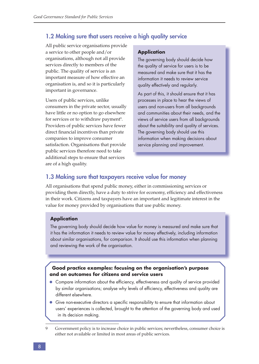### **1.2 Making sure that users receive a high quality service**

All public service organisations provide a service to other people and/or organisations, although not all provide services directly to members of the public. The quality of service is an important measure of how effective an organisation is, and so it is particularly important in governance.

Users of public services, unlike consumers in the private sector, usually have little or no option to go elsewhere for services or to withdraw payment<sup>9</sup>. Providers of public services have fewer direct financial incentives than private companies to improve consumer satisfaction. Organisations that provide public services therefore need to take additional steps to ensure that services are of a high quality.

#### **Application**

The governing body should decide how the quality of service for users is to be measured and make sure that it has the information it needs to review service quality effectively and regularly.

As part of this, it should ensure that it has processes in place to hear the views of users and non-users from all backgrounds and communities about their needs, and the views of service users from all backgrounds about the suitability and quality of services. The governing body should use this information when making decisions about service planning and improvement.

### **1.3 Making sure that taxpayers receive value for money**

All organisations that spend public money, either in commissioning services or providing them directly, have a duty to strive for economy, efficiency and effectiveness in their work. Citizens and taxpayers have an important and legitimate interest in the value for money provided by organisations that use public money.

#### **Application**

The governing body should decide how value for money is measured and make sure that it has the information it needs to review value for money effectively, including information about similar organisations, for comparison. It should use this information when planning and reviewing the work of the organisation.

#### **Good practice examples: focusing on the organisation's purpose and on outcomes for citizens and service users**

- Compare information about the efficiency, effectiveness and quality of service provided by similar organisations; analyse why levels of efficiency, effectiveness and quality are different elsewhere.
- Give non-executive directors a specific responsibility to ensure that information about users' experiences is collected, brought to the attention of the governing body and used in its decision making.
- 9 Government policy is to increase choice in public services; nevertheless, consumer choice is either not available or limited in most areas of public services.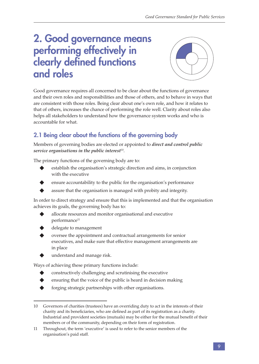## **2. Good governance means performing effectively in**  clearly defined functions **and roles**



Good governance requires all concerned to be clear about the functions of governance and their own roles and responsibilities and those of others, and to behave in ways that are consistent with those roles. Being clear about one's own role, and how it relates to that of others, increases the chance of performing the role well. Clarity about roles also helps all stakeholders to understand how the governance system works and who is accountable for what.

## **2.1 Being clear about the functions of the governing body**

Members of governing bodies are elected or appointed to *direct and control public service organisations in the public interest*<sup>10</sup>.

The primary functions of the governing body are to:

- establish the organisation's strategic direction and aims, in conjunction with the executive
- ensure accountability to the public for the organisation's performance
- assure that the organisation is managed with probity and integrity.

In order to direct strategy and ensure that this is implemented and that the organisation achieves its goals, the governing body has to:

- allocate resources and monitor organisational and executive performance<sup>11</sup>
- delegate to management
- oversee the appointment and contractual arrangements for senior executives, and make sure that effective management arrangements are in place
- understand and manage risk.

Ways of achieving these primary functions include:

- constructively challenging and scrutinising the executive
- ensuring that the voice of the public is heard in decision making
- forging strategic partnerships with other organisations.

<sup>10</sup> Governors of charities (trustees) have an overriding duty to act in the interests of their charity and its beneficiaries, who are defined as part of its registration as a charity. Industrial and provident societies (mutuals) may be either for the mutual benefit of their members or of the community, depending on their form of registration.

<sup>11</sup> Throughout, the term 'executive' is used to refer to the senior members of the organisation's paid staff.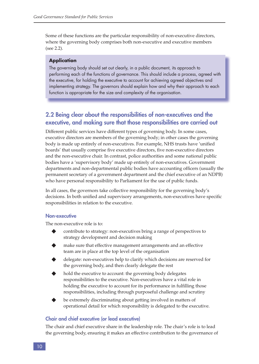Some of these functions are the particular responsibility of non-executive directors, where the governing body comprises both non-executive and executive members (see 2.2).

#### **Application**

The governing body should set out clearly, in a public document, its approach to performing each of the functions of governance. This should include a process, agreed with the executive, for holding the executive to account for achieving agreed objectives and implementing strategy. The governors should explain how and why their approach to each function is appropriate for the size and complexity of the organisation.

## **2.2 Being clear about the responsibilities of non-executives and the executive, and making sure that those responsibilities are carried out**

Different public services have different types of governing body. In some cases, executive directors are members of the governing body; in other cases the governing body is made up entirely of non-executives. For example, NHS trusts have 'unified boards' that usually comprise five executive directors, five non-executive directors and the non-executive chair. In contrast, police authorities and some national public bodies have a 'supervisory body' made up entirely of non-executives. Government departments and non-departmental public bodies have accounting officers (usually the permanent secretary of a government department and the chief executive of an NDPB) who have personal responsibility to Parliament for the use of public funds.

In all cases, the governors take collective responsibility for the governing body's decisions. In both unified and supervisory arrangements, non-executives have specific responsibilities in relation to the executive.

#### **Non-executive**

The non-executive role is to:

- contribute to strategy: non-executives bring a range of perspectives to strategy development and decision making
- make sure that effective management arrangements and an effective team are in place at the top level of the organisation
- delegate: non-executives help to clarify which decisions are reserved for the governing body, and then clearly delegate the rest
- hold the executive to account: the governing body delegates responsibilities to the executive. Non-executives have a vital role in holding the executive to account for its performance in fulfilling those responsibilities, including through purposeful challenge and scrutiny
- be extremely discriminating about getting involved in matters of operational detail for which responsibility is delegated to the executive.

#### **Chair and chief executive (or lead executive)**

The chair and chief executive share in the leadership role. The chair's role is to lead the governing body, ensuring it makes an effective contribution to the governance of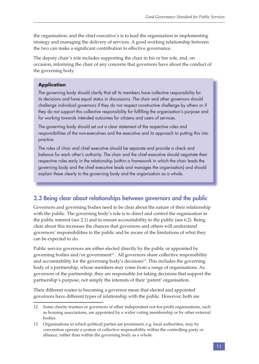the organisation; and the chief executive's is to lead the organisation in implementing strategy and managing the delivery of services. A good working relationship between the two can make a significant contribution to effective governance.

The deputy chair's role includes supporting the chair in his or her role, and, on occasion, informing the chair of any concerns that governors have about the conduct of the governing body.

#### **Application**

The governing body should clarify that all its members have collective responsibility for its decisions and have equal status in discussions. The chair and other governors should challenge individual governors if they do not respect constructive challenge by others or if they do not support this collective responsibility for fulfilling the organisation's purpose and for working towards intended outcomes for citizens and users of services.

The governing body should set out a clear statement of the respective roles and responsibilities of the non-executives and the executive and its approach to putting this into practice.

The roles of chair and chief executive should be separate and provide a check and balance for each other's authority. The chair and the chief executive should negotiate their respective roles early in the relationship (within a framework in which the chair leads the governing body and the chief executive leads and manages the organisation) and should explain these clearly to the governing body and the organisation as a whole.

## **2.3 Being clear about relationships between governors and the public**

Governors and governing bodies need to be clear about the nature of their relationship with the public. The governing body's role is to direct and control the organisation in the public interest (see 2.1) and to ensure accountability to the public (see 6.2). Being clear about this increases the chances that governors and others will understand governors' responsibilities to the public and be aware of the limitations of what they can be expected to do.

Public service governors are either elected directly by the public or appointed by governing bodies and/or government<sup>12</sup>. All governors share collective responsibility and accountability for the governing body's decisions<sup>13</sup>. This includes the governing body of a partnership, whose members may come from a range of organisations. As governors of the partnership, they are responsible for taking decisions that support the partnership's purpose, not simply the interests of their 'parent' organisation.

Their different routes to becoming a governor mean that elected and appointed governors have different types of relationship with the public. However, both are

<sup>12</sup> Some charity trustees or governors of other independent not-for-profit organisations, such as housing associations, are appointed by a wider voting membership or by other external bodies.

<sup>13</sup> Organisations in which political parties are prominent, e.g. local authorities, may by convention operate a system of collective responsibility within the controlling party or alliance, rather than within the governing body as a whole.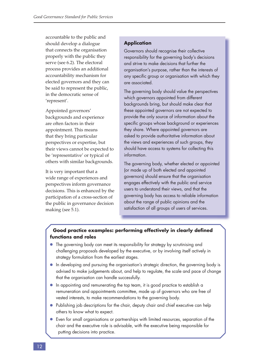accountable to the public and should develop a dialogue that connects the organisation properly with the public they serve (see 6.2). The electoral process provides an additional accountability mechanism for elected governors and they can be said to represent the public, in the democratic sense of 'represent'.

Appointed governors' backgrounds and experience are often factors in their appointment. This means that they bring particular perspectives or expertise, but their views cannot be expected to be 'representative' or typical of others with similar backgrounds.

It is very important that a wide range of experiences and perspectives inform governance decisions. This is enhanced by the participation of a cross-section of the public in governance decision making (see 5.1).

#### **Application**

Governors should recognise their collective responsibility for the governing body's decisions and strive to make decisions that further the organisation's purpose, rather than the interests of any specific group or organisation with which they are associated.

The governing body should value the perspectives which governors appointed from different backgrounds bring, but should make clear that these appointed governors are not expected to provide the only source of information about the specific groups whose background or experiences they share. Where appointed governors are asked to provide authoritative information about the views and experiences of such groups, they should have access to systems for collecting this information.

The governing body, whether elected or appointed (or made up of both elected and appointed governors) should ensure that the organisation engages effectively with the public and service users to understand their views, and that the governing body has access to reliable information about the range of public opinions and the satisfaction of all groups of users of services.

#### **Good practice examples: performing effectively in clearly defined functions and roles**

- The governing body can meet its responsibility for strategy by scrutinising and challenging proposals developed by the executive, or by involving itself actively in strategy formulation from the earliest stages.
- In developing and pursuing the organisation's strategic direction, the governing body is advised to make judgements about, and help to regulate, the scale and pace of change that the organisation can handle successfully.
- In appointing and remunerating the top team, it is good practice to establish a remuneration and appointments committee, made up of governors who are free of vested interests, to make recommendations to the governing body.
- Publishing job descriptions for the chair, deputy chair and chief executive can help others to know what to expect.
- Even for small organisations or partnerships with limited resources, separation of the chair and the executive role is advisable, with the executive being responsible for putting decisions into practice.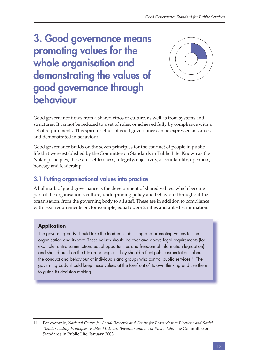## **3. Good governance means promoting values for the whole organisation and demonstrating the values of good governance through behaviour**



Good governance flows from a shared ethos or culture, as well as from systems and structures. It cannot be reduced to a set of rules, or achieved fully by compliance with a set of requirements. This spirit or ethos of good governance can be expressed as values and demonstrated in behaviour.

Good governance builds on the seven principles for the conduct of people in public life that were established by the Committee on Standards in Public Life. Known as the Nolan principles, these are: selflessness, integrity, objectivity, accountability, openness, honesty and leadership.

## **3.1 Putting organisational values into practice**

A hallmark of good governance is the development of shared values, which become part of the organisation's culture, underpinning policy and behaviour throughout the organisation, from the governing body to all staff. These are in addition to compliance with legal requirements on, for example, equal opportunities and anti-discrimination.

### **Application**

The governing body should take the lead in establishing and promoting values for the organisation and its staff. These values should be over and above legal requirements (for example, anti-discrimination, equal opportunities and freedom of information legislation) and should build on the Nolan principles. They should reflect public expectations about the conduct and behaviour of individuals and groups who control public services<sup>14</sup>. The governing body should keep these values at the forefront of its own thinking and use them to guide its decision making.

<sup>14</sup> For example, *National Centre for Social Research and Centre for Research into Elections and Social Trends Guiding Principles: Public Attitudes Towards Conduct in Public Life,* The Committee on Standards in Public Life, January 2003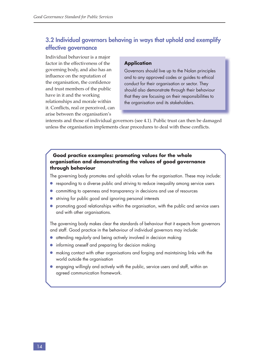## **3.2 Individual governors behaving in ways that uphold and exemplify effective governance**

Individual behaviour is a major factor in the effectiveness of the governing body, and also has an influence on the reputation of the organisation, the confidence and trust members of the public have in it and the working relationships and morale within it. Conflicts, real or perceived, can arise between the organisation's

#### **Application**

Governors should live up to the Nolan principles and to any approved codes or guides to ethical conduct for their organisation or sector. They should also demonstrate through their behaviour that they are focusing on their responsibilities to the organisation and its stakeholders.

interests and those of individual governors (see 4.1). Public trust can then be damaged unless the organisation implements clear procedures to deal with these conflicts.

#### **Good practice examples: promoting values for the whole organisation and demonstrating the values of good governance through behaviour**

The governing body promotes and upholds values for the organisation. These may include:

- responding to a diverse public and striving to reduce inequality among service users
- committing to openness and transparency in decisions and use of resources
- striving for public good and ignoring personal interests
- promoting good relationships within the organisation, with the public and service users and with other organisations.

The governing body makes clear the standards of behaviour that it expects from governors and staff. Good practice in the behaviour of individual governors may include:

- attending regularly and being actively involved in decision making
- informing oneself and preparing for decision making
- making contact with other organisations and forging and maintaining links with the world outside the organisation
- engaging willingly and actively with the public, service users and staff, within an agreed communication framework.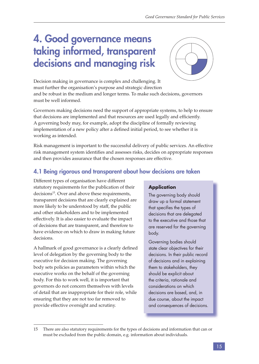## **4. Good governance means taking informed, transparent decisions and managing risk**



Decision making in governance is complex and challenging. It must further the organisation's purpose and strategic direction and be robust in the medium and longer terms. To make such decisions, governors must be well informed.

Governors making decisions need the support of appropriate systems, to help to ensure that decisions are implemented and that resources are used legally and efficiently. A governing body may, for example, adopt the discipline of formally reviewing implementation of a new policy after a defined initial period, to see whether it is working as intended.

Risk management is important to the successful delivery of public services. An effective risk management system identifies and assesses risks, decides on appropriate responses and then provides assurance that the chosen responses are effective.

## **4.1 Being rigorous and transparent about how decisions are taken**

Different types of organisation have different statutory requirements for the publication of their decisions<sup>15</sup>. Over and above these requirements, transparent decisions that are clearly explained are more likely to be understood by staff, the public and other stakeholders and to be implemented effectively. It is also easier to evaluate the impact of decisions that are transparent, and therefore to have evidence on which to draw in making future decisions.

A hallmark of good governance is a clearly defined level of delegation by the governing body to the executive for decision making. The governing body sets policies as parameters within which the executive works on the behalf of the governing body. For this to work well, it is important that governors do not concern themselves with levels of detail that are inappropriate for their role, while ensuring that they are not too far removed to provide effective oversight and scrutiny.

#### **Application**

The governing body should draw up a formal statement that specifies the types of decisions that are delegated to the executive and those that are reserved for the governing body.

Governing bodies should state clear objectives for their decisions. In their public record of decisions and in explaining them to stakeholders, they should be explicit about the criteria, rationale and considerations on which decisions are based, and, in due course, about the impact and consequences of decisions.

<sup>15</sup> There are also statutory requirements for the types of decisions and information that can or must be excluded from the public domain, e.g. information about individuals.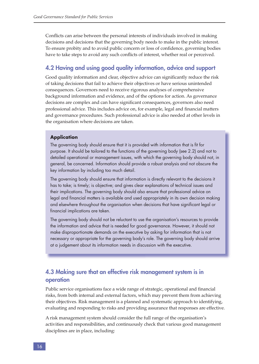Conflicts can arise between the personal interests of individuals involved in making decisions and decisions that the governing body needs to make in the public interest. To ensure probity and to avoid public concern or loss of confidence, governing bodies have to take steps to avoid any such conflicts of interest, whether real or perceived.

### **4.2 Having and using good quality information, advice and support**

Good quality information and clear, objective advice can significantly reduce the risk of taking decisions that fail to achieve their objectives or have serious unintended consequences. Governors need to receive rigorous analyses of comprehensive background information and evidence, and of the options for action. As governance decisions are complex and can have significant consequences, governors also need professional advice. This includes advice on, for example, legal and financial matters and governance procedures. Such professional advice is also needed at other levels in the organisation where decisions are taken.

#### **Application**

The governing body should ensure that it is provided with information that is fit for purpose. It should be tailored to the functions of the governing body (see 2.2) and not to detailed operational or management issues, with which the governing body should not, in general, be concerned. Information should provide a robust analysis and not obscure the key information by including too much detail.

The governing body should ensure that information is directly relevant to the decisions it has to take; is timely; is objective; and gives clear explanations of technical issues and their implications. The governing body should also ensure that professional advice on legal and financial matters is available and used appropriately in its own decision making and elsewhere throughout the organisation when decisions that have significant legal or financial implications are taken.

The governing body should not be reluctant to use the organisation's resources to provide the information and advice that is needed for good governance. However, it should not make disproportionate demands on the executive by asking for information that is not necessary or appropriate for the governing body's role. The governing body should arrive at a judgement about its information needs in discussion with the executive.

## **4.3 Making sure that an effective risk management system is in operation**

Public service organisations face a wide range of strategic, operational and financial risks, from both internal and external factors, which may prevent them from achieving their objectives. Risk management is a planned and systematic approach to identifying, evaluating and responding to risks and providing assurance that responses are effective.

A risk management system should consider the full range of the organisation's activities and responsibilities, and continuously check that various good management disciplines are in place, including: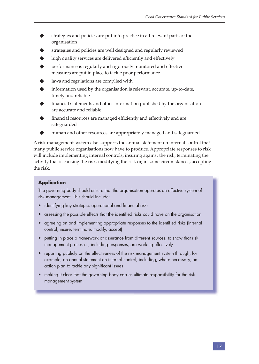- strategies and policies are put into practice in all relevant parts of the organisation
- strategies and policies are well designed and regularly reviewed
- high quality services are delivered efficiently and effectively
- performance is regularly and rigorously monitored and effective measures are put in place to tackle poor performance
- laws and regulations are complied with
- information used by the organisation is relevant, accurate, up-to-date, timely and reliable
- financial statements and other information published by the organisation are accurate and reliable
- financial resources are managed efficiently and effectively and are safeguarded
- human and other resources are appropriately managed and safeguarded.

A risk management system also supports the annual statement on internal control that many public service organisations now have to produce. Appropriate responses to risk will include implementing internal controls, insuring against the risk, terminating the activity that is causing the risk, modifying the risk or, in some circumstances, accepting the risk.

#### **Application**

The governing body should ensure that the organisation operates an effective system of risk management. This should include:

- identifying key strategic, operational and financial risks
- assessing the possible effects that the identified risks could have on the organisation
- agreeing on and implementing appropriate responses to the identified risks (internal control, insure, terminate, modify, accept)
- putting in place a framework of assurance from different sources, to show that risk management processes, including responses, are working effectively
- reporting publicly on the effectiveness of the risk management system through, for example, an annual statement on internal control, including, where necessary, an action plan to tackle any significant issues
- making it clear that the governing body carries ultimate responsibility for the risk management system.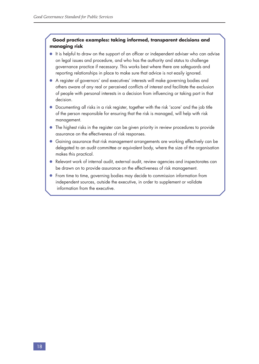#### **Good practice examples: taking informed, transparent decisions and managing risk**

- It is helpful to draw on the support of an officer or independent adviser who can advise on legal issues and procedure, and who has the authority and status to challenge governance practice if necessary. This works best where there are safeguards and reporting relationships in place to make sure that advice is not easily ignored.
- A register of governors' and executives' interests will make governing bodies and others aware of any real or perceived conflicts of interest and facilitate the exclusion of people with personal interests in a decision from influencing or taking part in that decision.
- Documenting all risks in a risk register, together with the risk 'score' and the job title of the person responsible for ensuring that the risk is managed, will help with risk management.
- The highest risks in the register can be given priority in review procedures to provide assurance on the effectiveness of risk responses.
- Gaining assurance that risk management arrangements are working effectively can be delegated to an audit committee or equivalent body, where the size of the organisation makes this practical.
- Relevant work of internal audit, external audit, review agencies and inspectorates can be drawn on to provide assurance on the effectiveness of risk management.
- From time to time, governing bodies may decide to commission information from independent sources, outside the executive, in order to supplement or validate information from the executive.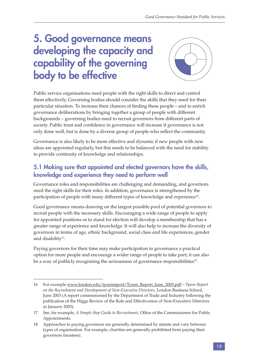## **5. Good governance means developing the capacity and capability of the governing body to be effective**



Public service organisations need people with the right skills to direct and control them effectively. Governing bodies should consider the skills that they need for their particular situation. To increase their chances of finding these people – and to enrich governance deliberations by bringing together a group of people with different backgrounds – governing bodies need to recruit governors from different parts of society. Public trust and confidence in governance will increase if governance is not only done well, but is done by a diverse group of people who reflect the community.

Governance is also likely to be more effective and dynamic if new people with new ideas are appointed regularly, but this needs to be balanced with the need for stability to provide continuity of knowledge and relationships.

## **5.1 Making sure that appointed and elected governors have the skills, knowledge and experience they need to perform well**

Governance roles and responsibilities are challenging and demanding, and governors need the right skills for their roles. In addition, governance is strengthened by the participation of people with many different types of knowledge and experience<sup>16</sup>.

Good governance means drawing on the largest possible pool of potential governors to recruit people with the necessary skills. Encouraging a wide range of people to apply for appointed positions or to stand for election will develop a membership that has a greater range of experience and knowledge. It will also help to increase the diversity of governors in terms of age, ethnic background, social class and life experiences, gender and disability<sup>17</sup>.

Paying governors for their time may make participation in governance a practical option for more people and encourage a wider range of people to take part; it can also be a way of publicly recognising the seriousness of governance responsibilities<sup>18</sup>.

<sup>16</sup> For example www.london.edu/tysonreport/Tyson\_Report\_June\_2003.pdf – *Tyson Report on the Recruitment and Development of Non-Executive Directors*, London Business School, June 2003 (A report commissioned by the Department of Trade and Industry following the publication of the Higgs Review of the Role and Effectiveness of Non-Executive Directors in January 2003).

<sup>17</sup> See, for example, *A Simple Step Guide to Recruitment*, Office of the Commissioner for Public Appointments.

<sup>18</sup> Approaches to paying governors are generally determined by statute and vary between types of organisation. For example, charities are generally prohibited from paying their governors (trustees).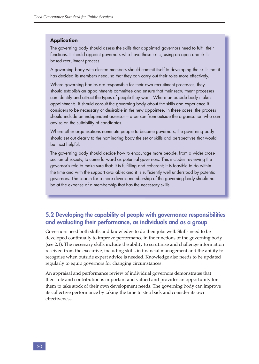#### **Application**

The governing body should assess the skills that appointed governors need to fulfil their functions. It should appoint governors who have these skills, using an open and skillsbased recruitment process.

A governing body with elected members should commit itself to developing the skills that it has decided its members need, so that they can carry out their roles more effectively.

Where governing bodies are responsible for their own recruitment processes, they should establish an appointments committee and ensure that their recruitment processes can identify and attract the types of people they want. Where an outside body makes appointments, it should consult the governing body about the skills and experience it considers to be necessary or desirable in the new appointee. In these cases, the process should include an independent assessor – a person from outside the organisation who can advise on the suitability of candidates.

Where other organisations nominate people to become governors, the governing body should set out clearly to the nominating body the set of skills and perspectives that would be most helpful.

The governing body should decide how to encourage more people, from a wider crosssection of society, to come forward as potential governors. This includes reviewing the governor's role to make sure that: it is fulfilling and coherent; it is feasible to do within the time and with the support available; and it is sufficiently well understood by potential governors. The search for a more diverse membership of the governing body should not be at the expense of a membership that has the necessary skills.

## **5.2 Developing the capability of people with governance responsibilities and evaluating their performance, as individuals and as a group**

Governors need both skills and knowledge to do their jobs well. Skills need to be developed continually to improve performance in the functions of the governing body (see 2.1). The necessary skills include the ability to scrutinise and challenge information received from the executive, including skills in financial management and the ability to recognise when outside expert advice is needed. Knowledge also needs to be updated regularly to equip governors for changing circumstances.

An appraisal and performance review of individual governors demonstrates that their role and contribution is important and valued and provides an opportunity for them to take stock of their own development needs. The governing body can improve its collective performance by taking the time to step back and consider its own effectiveness.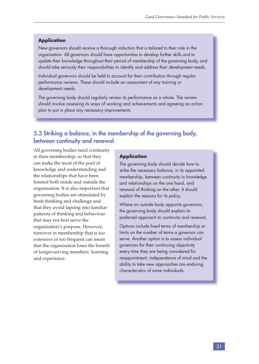#### **Application**

New governors should receive a thorough induction that is tailored to their role in the organisation. All governors should have opportunities to develop further skills and to update their knowledge throughout their period of membership of the governing body, and should take seriously their responsibilities to identify and address their development needs.

Individual governors should be held to account for their contribution through regular performance reviews. These should include an assessment of any training or development needs.

The governing body should regularly review its performance as a whole. The review should involve assessing its ways of working and achievements and agreeing an action plan to put in place any necessary improvements.

## **5.3 Striking a balance, in the membership of the governing body, between continuity and renewal**

All governing bodies need continuity in their membership, so that they can make the most of the pool of knowledge and understanding and the relationships that have been formed both inside and outside the organisation. It is also important that governing bodies are stimulated by fresh thinking and challenge and that they avoid lapsing into familiar patterns of thinking and behaviour that may not best serve the organisation's purpose. However, turnover in membership that is too extensive or too frequent can mean that the organisation loses the benefit of longer-serving members' learning and experience.

#### **Application**

The governing body should decide how to strike the necessary balance, in its appointed membership, between continuity in knowledge and relationships on the one hand, and renewal of thinking on the other. It should explain the reasons for its policy.

Where an outside body appoints governors, the governing body should explain its preferred approach to continuity and renewal.

Options include fixed terms of membership or limits on the number of terms a governor can serve. Another option is to assess individual governors for their continuing objectivity every time they are being considered for reappointment; independence of mind and the ability to take new approaches are enduring characteristics of some individuals.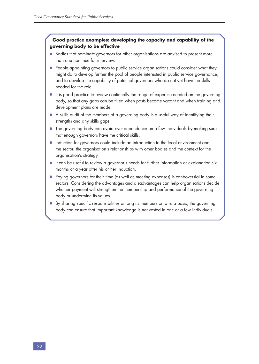#### **Good practice examples: developing the capacity and capability of the governing body to be effective**

- Bodies that nominate governors for other organisations are advised to present more than one nominee for interview.
- People appointing governors to public service organisations could consider what they might do to develop further the pool of people interested in public service governance, and to develop the capability of potential governors who do not yet have the skills needed for the role.
- It is good practice to review continually the range of expertise needed on the governing body, so that any gaps can be filled when posts become vacant and when training and development plans are made.
- A skills audit of the members of a governing body is a useful way of identifying their strengths and any skills gaps.
- The governing body can avoid over-dependence on a few individuals by making sure that enough governors have the critical skills.
- Induction for governors could include an introduction to the local environment and the sector, the organisation's relationships with other bodies and the context for the organisation's strategy.
- It can be useful to review a governor's needs for further information or explanation six months or a year after his or her induction.
- Paying governors for their time (as well as meeting expenses) is controversial in some sectors. Considering the advantages and disadvantages can help organisations decide whether payment will strengthen the membership and performance of the governing body or undermine its values.
- $\bullet$  By sharing specific responsibilities among its members on a rota basis, the governing body can ensure that important knowledge is not vested in one or a few individuals.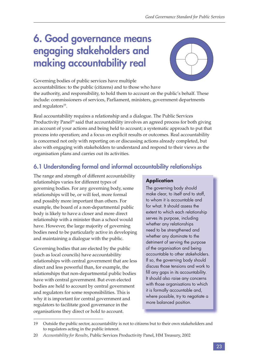## **6. Good governance means engaging stakeholders and making accountability real**



Governing bodies of public services have multiple accountabilities: to the public (citizens) and to those who have the authority, and responsibility, to hold them to account on the public's behalf. These include: commissioners of services, Parliament, ministers, government departments and regulators $19$ .

Real accountability requires a relationship and a dialogue. The Public Services Productivity Panel<sup>20</sup> said that accountability involves an agreed process for both giving an account of your actions and being held to account; a systematic approach to put that process into operation; and a focus on explicit results or outcomes. Real accountability is concerned not only with reporting on or discussing actions already completed, but also with engaging with stakeholders to understand and respond to their views as the organisation plans and carries out its activities.

## **6.1 Understanding formal and informal accountability relationships**

The range and strength of different accountability relationships varies for different types of governing bodies. For any governing body, some relationships will be, or will feel, more formal and possibly more important than others. For example, the board of a non-departmental public body is likely to have a closer and more direct relationship with a minister than a school would have. However, the large majority of governing bodies need to be particularly active in developing and maintaining a dialogue with the public.

Governing bodies that are elected by the public (such as local councils) have accountability relationships with central government that are less direct and less powerful than, for example, the relationships that non-departmental public bodies have with central government. But even elected bodies are held to account by central government and regulators for some responsibilities. This is why it is important for central government and regulators to facilitate good governance in the organisations they direct or hold to account.

#### **Application**

The governing body should make clear, to itself and to staff, to whom it is accountable and for what. It should assess the extent to which each relationship serves its purpose, including whether any relationships need to be strengthened and whether any dominate to the detriment of serving the purpose of the organisation and being accountable to other stakeholders. If so, the governing body should discuss those tensions and work to fill any gaps in its accountability. It should also raise any concerns with those organisations to which it is formally accountable and, where possible, try to negotiate a more balanced position.

<sup>19</sup> Outside the public sector, accountability is not to citizens but to their own stakeholders and to regulators acting in the public interest.

<sup>20</sup> *Accountability for Results*, Public Services Productivity Panel, HM Treasury, 2002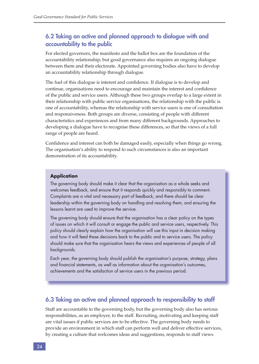## **6.2 Taking an active and planned approach to dialogue with and accountability to the public**

For elected governors, the manifesto and the ballot box are the foundation of the accountability relationship; but good governance also requires an ongoing dialogue between them and their electorate. Appointed governing bodies also have to develop an accountability relationship through dialogue.

The fuel of this dialogue is interest and confidence. If dialogue is to develop and continue, organisations need to encourage and maintain the interest and confidence of the public and service users. Although these two groups overlap to a large extent in their relationship with public service organisations, the relationship with the public is one of accountability, whereas the relationship with service users is one of consultation and responsiveness. Both groups are diverse, consisting of people with different characteristics and experiences and from many different backgrounds. Approaches to developing a dialogue have to recognise these differences, so that the views of a full range of people are heard.

Confidence and interest can both be damaged easily, especially when things go wrong. The organisation's ability to respond to such circumstances is also an important demonstration of its accountability.

#### **Application**

The governing body should make it clear that the organisation as a whole seeks and welcomes feedback, and ensure that it responds quickly and responsibly to comment. Complaints are a vital and necessary part of feedback, and there should be clear leadership within the governing body on handling and resolving them, and ensuring the lessons learnt are used to improve the service.

The governing body should ensure that the organisation has a clear policy on the types of issues on which it will consult or engage the public and service users, respectively. This policy should clearly explain how the organisation will use this input in decision making and how it will feed these decisions back to the public and to service users. The policy should make sure that the organisation hears the views and experiences of people of all backgrounds.

Each year, the governing body should publish the organisation's purpose, strategy, plans and financial statements, as well as information about the organisation's outcomes, achievements and the satisfaction of service users in the previous period.

### **6.3 Taking an active and planned approach to responsibility to staff**

Staff are accountable to the governing body, but the governing body also has serious responsibilities, as an employer, to the staff. Recruiting, motivating and keeping staff are vital issues if public services are to be effective. The governing body needs to provide an environment in which staff can perform well and deliver effective services, by creating a culture that welcomes ideas and suggestions, responds to staff views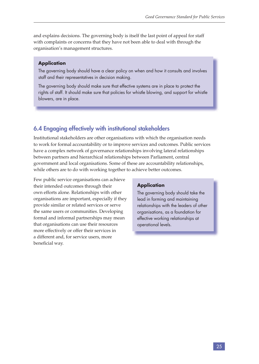and explains decisions. The governing body is itself the last point of appeal for staff with complaints or concerns that they have not been able to deal with through the organisation's management structures.

#### **Application**

The governing body should have a clear policy on when and how it consults and involves staff and their representatives in decision making.

The governing body should make sure that effective systems are in place to protect the rights of staff. It should make sure that policies for whistle blowing, and support for whistle blowers, are in place.

## **6.4 Engaging effectively with institutional stakeholders**

Institutional stakeholders are other organisations with which the organisation needs to work for formal accountability or to improve services and outcomes. Public services have a complex network of governance relationships involving lateral relationships between partners and hierarchical relationships between Parliament, central government and local organisations. Some of these are accountability relationships, while others are to do with working together to achieve better outcomes.

Few public service organisations can achieve their intended outcomes through their own efforts alone. Relationships with other organisations are important, especially if they provide similar or related services or serve the same users or communities. Developing formal and informal partnerships may mean that organisations can use their resources more effectively or offer their services in a different and, for service users, more beneficial way.

#### **Application**

The governing body should take the lead in forming and maintaining relationships with the leaders of other organisations, as a foundation for effective working relationships at operational levels.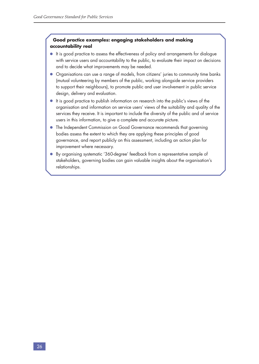#### **Good practice examples: engaging stakeholders and making accountability real**

- It is good practice to assess the effectiveness of policy and arrangements for dialogue with service users and accountability to the public, to evaluate their impact on decisions and to decide what improvements may be needed.
- Organisations can use a range of models, from citizens' juries to community time banks (mutual volunteering by members of the public, working alongside service providers to support their neighbours), to promote public and user involvement in public service design, delivery and evaluation.
- It is good practice to publish information on research into the public's views of the organisation and information on service users' views of the suitability and quality of the services they receive. It is important to include the diversity of the public and of service users in this information, to give a complete and accurate picture.
- The Independent Commission on Good Governance recommends that governing bodies assess the extent to which they are applying these principles of good governance, and report publicly on this assessment, including an action plan for improvement where necessary.
- By organising systematic '360-degree' feedback from a representative sample of stakeholders, governing bodies can gain valuable insights about the organisation's relationships.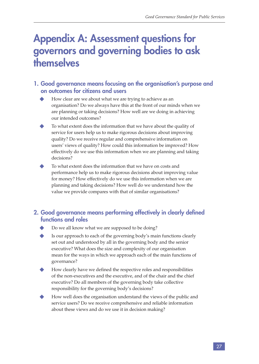## **Appendix A: Assessment questions for governors and governing bodies to ask themselves**

## **1. Good governance means focusing on the organisation's purpose and on outcomes for citizens and users**

- How clear are we about what we are trying to achieve as an organisation? Do we always have this at the front of our minds when we are planning or taking decisions? How well are we doing in achieving our intended outcomes?
- To what extent does the information that we have about the quality of service for users help us to make rigorous decisions about improving quality? Do we receive regular and comprehensive information on users' views of quality? How could this information be improved? How effectively do we use this information when we are planning and taking decisions?
- To what extent does the information that we have on costs and performance help us to make rigorous decisions about improving value for money? How effectively do we use this information when we are planning and taking decisions? How well do we understand how the value we provide compares with that of similar organisations?

## **2. Good governance means performing effectively in clearly defined functions and roles**

- Do we all know what we are supposed to be doing?
- Is our approach to each of the governing body's main functions clearly set out and understood by all in the governing body and the senior executive? What does the size and complexity of our organisation mean for the ways in which we approach each of the main functions of governance?
- How clearly have we defined the respective roles and responsibilities of the non-executives and the executive, and of the chair and the chief executive? Do all members of the governing body take collective responsibility for the governing body's decisions?
- How well does the organisation understand the views of the public and service users? Do we receive comprehensive and reliable information about these views and do we use it in decision making?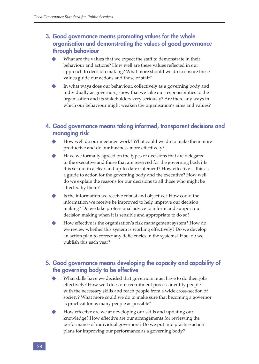## **3. Good governance means promoting values for the whole organisation and demonstrating the values of good governance through behaviour**

- What are the values that we expect the staff to demonstrate in their behaviour and actions? How well are these values reflected in our approach to decision making? What more should we do to ensure these values guide our actions and those of staff?
- In what ways does our behaviour, collectively as a governing body and individually as governors, show that we take our responsibilities to the organisation and its stakeholders very seriously? Are there any ways in which our behaviour might weaken the organisation's aims and values?

### **4. Good governance means taking informed, transparent decisions and managing risk**

- How well do our meetings work? What could we do to make them more productive and do our business more effectively?
- Have we formally agreed on the types of decisions that are delegated to the executive and those that are reserved for the governing body? Is this set out in a clear and up-to-date statement? How effective is this as a guide to action for the governing body and the executive? How well do we explain the reasons for our decisions to all those who might be affected by them?
- Is the information we receive robust and objective? How could the information we receive be improved to help improve our decision making? Do we take professional advice to inform and support our decision making when it is sensible and appropriate to do so?
- How effective is the organisation's risk management system? How do we review whether this system is working effectively? Do we develop an action plan to correct any deficiencies in the systems? If so, do we publish this each year?

## **5. Good governance means developing the capacity and capability of the governing body to be effective**

- What skills have we decided that governors must have to do their jobs effectively? How well does our recruitment process identify people with the necessary skills and reach people from a wide cross-section of society? What more could we do to make sure that becoming a governor is practical for as many people as possible?
- How effective are we at developing our skills and updating our knowledge? How effective are our arrangements for reviewing the performance of individual governors? Do we put into practice action plans for improving our performance as a governing body?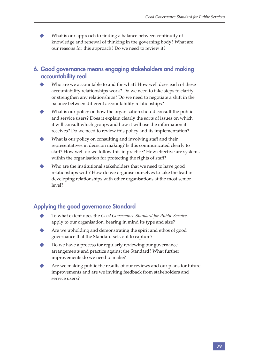What is our approach to finding a balance between continuity of knowledge and renewal of thinking in the governing body? What are our reasons for this approach? Do we need to review it?

### **6. Good governance means engaging stakeholders and making accountability real**

- Who are we accountable to and for what? How well does each of these accountability relationships work? Do we need to take steps to clarify or strengthen any relationships? Do we need to negotiate a shift in the balance between different accountability relationships?
- What is our policy on how the organisation should consult the public and service users? Does it explain clearly the sorts of issues on which it will consult which groups and how it will use the information it receives? Do we need to review this policy and its implementation?
- What is our policy on consulting and involving staff and their representatives in decision making? Is this communicated clearly to staff? How well do we follow this in practice? How effective are systems within the organisation for protecting the rights of staff?
- Who are the institutional stakeholders that we need to have good relationships with? How do we organise ourselves to take the lead in developing relationships with other organisations at the most senior level?

## **Applying the good governance Standard**

- u To what extent does the *Good Governance Standard for Public Services* apply to our organisation, bearing in mind its type and size?
- Are we upholding and demonstrating the spirit and ethos of good governance that the Standard sets out to capture?
- Do we have a process for regularly reviewing our governance arrangements and practice against the Standard? What further improvements do we need to make?
- Are we making public the results of our reviews and our plans for future improvements and are we inviting feedback from stakeholders and service users?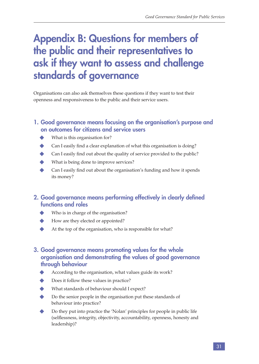## **Appendix B: Questions for members of the public and their representatives to ask if they want to assess and challenge standards of governance**

Organisations can also ask themselves these questions if they want to test their openness and responsiveness to the public and their service users.

## **1. Good governance means focusing on the organisation's purpose and on outcomes for citizens and service users**

- What is this organisation for?
- Can I easily find a clear explanation of what this organisation is doing?
- Can I easily find out about the quality of service provided to the public?
- What is being done to improve services?
- Can I easily find out about the organisation's funding and how it spends its money?
- **2. Good governance means performing effectively in clearly defined functions and roles** 
	- Who is in charge of the organisation?
	- How are they elected or appointed?
	- At the top of the organisation, who is responsible for what?

## **3. Good governance means promoting values for the whole organisation and demonstrating the values of good governance through behaviour**

- According to the organisation, what values guide its work?
- Does it follow these values in practice?
- What standards of behaviour should I expect?
- Do the senior people in the organisation put these standards of behaviour into practice?
- Do they put into practice the 'Nolan' principles for people in public life (selflessness, integrity, objectivity, accountability, openness, honesty and leadership)?